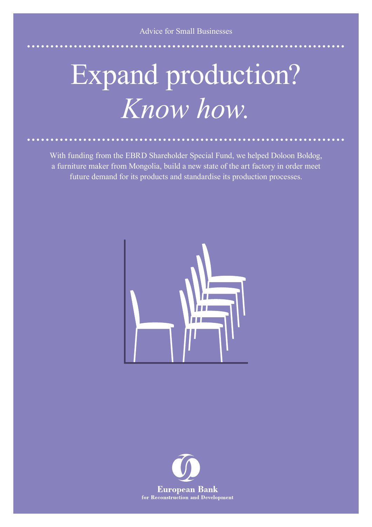## Expand production? *Know how.*

With funding from the EBRD Shareholder Special Fund, we helped Doloon Boldog, a furniture maker from Mongolia, build a new state of the art factory in order meet future demand for its products and standardise its production processes.